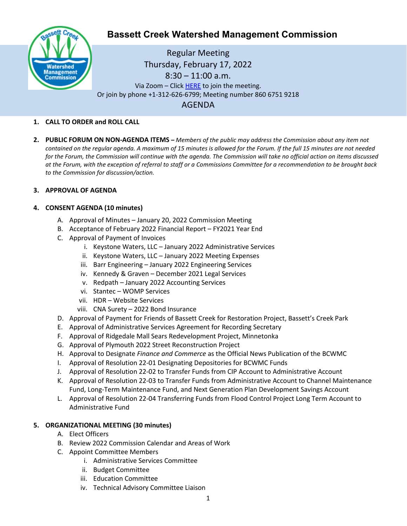

# **Bassett Creek Watershed Management Commission**

Regular Meeting Thursday, February 17, 2022  $8:30 - 11:00$  a.m. Via Zoom – Clic[k HERE](https://us02web.zoom.us/j/86067519218) to join the meeting. Or join by phone +1-312-626-6799; Meeting number 860 6751 9218 AGENDA

#### **1. CALL TO ORDER and ROLL CALL**

**2. PUBLIC FORUM ON NON-AGENDA ITEMS –** *Members of the public may address the Commission about any item not contained on the regular agenda. A maximum of 15 minutes is allowed for the Forum. If the full 15 minutes are not needed for the Forum, the Commission will continue with the agenda. The Commission will take no official action on items discussed at the Forum, with the exception of referral to staff or a Commissions Committee for a recommendation to be brought back to the Commission for discussion/action.*

#### **3. APPROVAL OF AGENDA**

#### **4. CONSENT AGENDA (10 minutes)**

- A. Approval of Minutes January 20, 2022 Commission Meeting
- B. Acceptance of February 2022 Financial Report FY2021 Year End
- C. Approval of Payment of Invoices
	- i. Keystone Waters, LLC January 2022 Administrative Services
	- ii. Keystone Waters, LLC January 2022 Meeting Expenses
	- iii. Barr Engineering January 2022 Engineering Services
	- iv. Kennedy & Graven December 2021 Legal Services
	- v. Redpath January 2022 Accounting Services
	- vi. Stantec WOMP Services
	- vii. HDR Website Services
	- viii. CNA Surety 2022 Bond Insurance
- D. Approval of Payment for Friends of Bassett Creek for Restoration Project, Bassett's Creek Park
- E. Approval of Administrative Services Agreement for Recording Secretary
- F. Approval of Ridgedale Mall Sears Redevelopment Project, Minnetonka
- G. Approval of Plymouth 2022 Street Reconstruction Project
- H. Approval to Designate *Finance and Commerce* as the Official News Publication of the BCWMC
- I. Approval of Resolution 22-01 Designating Depositories for BCWMC Funds
- J. Approval of Resolution 22-02 to Transfer Funds from CIP Account to Administrative Account
- K. Approval of Resolution 22-03 to Transfer Funds from Administrative Account to Channel Maintenance Fund, Long-Term Maintenance Fund, and Next Generation Plan Development Savings Account
- L. Approval of Resolution 22-04 Transferring Funds from Flood Control Project Long Term Account to Administrative Fund

#### **5. ORGANIZATIONAL MEETING (30 minutes)**

- A. Elect Officers
- B. Review 2022 Commission Calendar and Areas of Work
- C. Appoint Committee Members
	- i. Administrative Services Committee
	- ii. Budget Committee
	- iii. Education Committee
	- iv. Technical Advisory Committee Liaison